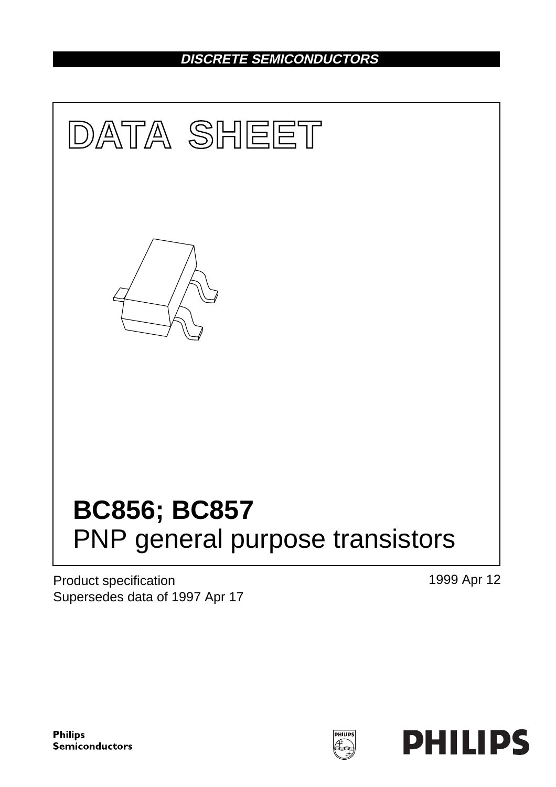# **DISCRETE SEMICONDUCTORS**



Product specification Supersedes data of 1997 Apr 17 1999 Apr 12

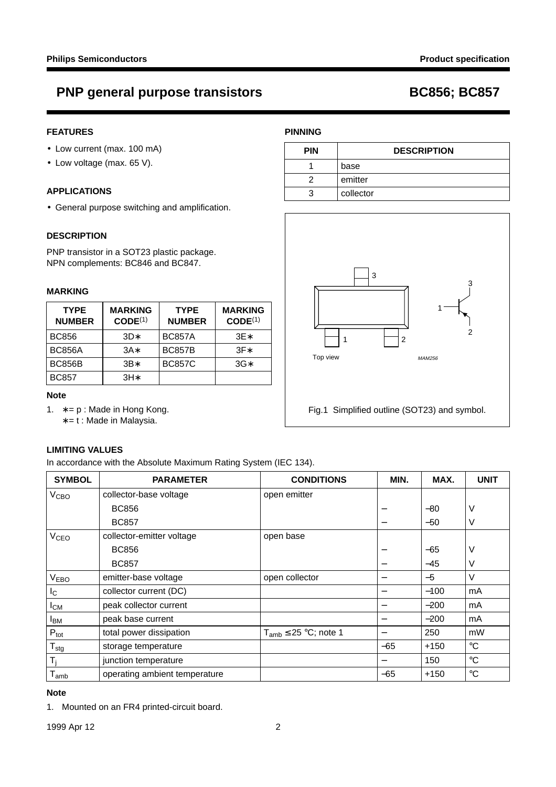# **PNP general purpose transistors BC856; BC857**

### **FEATURES**

- Low current (max. 100 mA)
- Low voltage (max. 65 V).

#### **APPLICATIONS**

• General purpose switching and amplification.

#### **DESCRIPTION**

PNP transistor in a SOT23 plastic package. NPN complements: BC846 and BC847.

#### **MARKING**

| <b>TYPE</b><br><b>NUMBER</b> | <b>MARKING</b><br>CODE <sup>(1)</sup> | <b>TYPE</b><br><b>NUMBER</b> | <b>MARKING</b><br>CODE <sup>(1)</sup> |
|------------------------------|---------------------------------------|------------------------------|---------------------------------------|
| <b>BC856</b>                 | $3D*$                                 | <b>BC857A</b>                | $3E*$                                 |
| <b>BC856A</b>                | $3A*$                                 | <b>BC857B</b>                | $3F*$                                 |
| <b>BC856B</b>                | $3B*$                                 | <b>BC857C</b>                | $3G*$                                 |
| <b>BC857</b>                 | $3H*$                                 |                              |                                       |

#### **Note**

- 1. ∗ = p : Made in Hong Kong.
	- ∗ = t : Made in Malaysia.

### **LIMITING VALUES**

In accordance with the Absolute Maximum Rating System (IEC 134).

| <b>SYMBOL</b>          | <b>PARAMETER</b>              | <b>CONDITIONS</b>            | MIN.  | MAX.   | <b>UNIT</b>     |
|------------------------|-------------------------------|------------------------------|-------|--------|-----------------|
| V <sub>CBO</sub>       | collector-base voltage        | open emitter                 |       |        |                 |
|                        | <b>BC856</b>                  |                              |       | $-80$  | ٧               |
|                        | <b>BC857</b>                  |                              |       | $-50$  | V               |
| <b>V<sub>CEO</sub></b> | collector-emitter voltage     | open base                    |       |        |                 |
|                        | <b>BC856</b>                  |                              |       | $-65$  | V               |
|                        | <b>BC857</b>                  |                              |       | $-45$  | V               |
| <b>VEBO</b>            | emitter-base voltage          | open collector               | -     | $-5$   | V               |
| <sub>IC</sub>          | collector current (DC)        |                              |       | $-100$ | mA              |
| $I_{CM}$               | peak collector current        |                              |       | $-200$ | mA              |
| <b>IBM</b>             | peak base current             |                              |       | $-200$ | mA              |
| $P_{\text{tot}}$       | total power dissipation       | $T_{amb} \leq 25$ °C; note 1 |       | 250    | mW              |
| $T_{\text{stg}}$       | storage temperature           |                              | $-65$ | $+150$ | $^{\circ}C$     |
| $T_i$                  | junction temperature          |                              |       | 150    | $^{\circ}C$     |
| $T_{amb}$              | operating ambient temperature |                              | $-65$ | $+150$ | $\rm ^{\circ}C$ |

### **Note**

1. Mounted on an FR4 printed-circuit board.

### **PINNING**

| <b>PIN</b> | <b>DESCRIPTION</b> |  |
|------------|--------------------|--|
|            | base               |  |
|            | emitter            |  |
|            | collector          |  |



Fig.1 Simplified outline (SOT23) and symbol.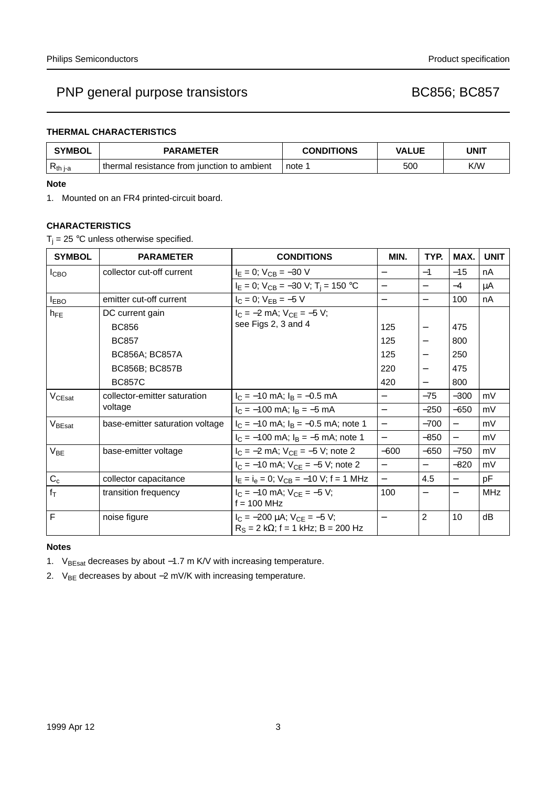## PNP general purpose transistors and the control of the BC856; BC857

### **THERMAL CHARACTERISTICS**

| <b>SYMBOL</b> | <b>PARAMETER</b>                            | <b>CONDITIONS</b> | <b>VALUE</b> | <b>UNIT</b> |
|---------------|---------------------------------------------|-------------------|--------------|-------------|
| $R_{th i-a}$  | thermal resistance from junction to ambient | note <sup>-</sup> | 500          | K/W         |

#### **Note**

1. Mounted on an FR4 printed-circuit board.

### **CHARACTERISTICS**

 $T_i = 25$  °C unless otherwise specified.

| <b>SYMBOL</b>      | <b>PARAMETER</b>                | <b>CONDITIONS</b>                                                                   | MIN.                     | TYP.                     | MAX.                     | <b>UNIT</b> |
|--------------------|---------------------------------|-------------------------------------------------------------------------------------|--------------------------|--------------------------|--------------------------|-------------|
| I <sub>CBO</sub>   | collector cut-off current       | $I_E = 0$ ; $V_{CB} = -30$ V                                                        | —                        | $-1$                     | $-15$                    | nA          |
|                    |                                 | $I_E = 0$ ; $V_{CB} = -30$ V; $T_i = 150$ °C                                        | $\overline{\phantom{0}}$ |                          | $-4$                     | μA          |
| $I_{EBO}$          | emitter cut-off current         | $I_C = 0$ ; $V_{EB} = -5$ V                                                         | $\overline{\phantom{0}}$ |                          | 100                      | nA          |
| $h_{FE}$           | DC current gain                 | $I_C = -2$ mA; $V_{CF} = -5$ V;                                                     |                          |                          |                          |             |
|                    | <b>BC856</b>                    | see Figs 2, 3 and 4                                                                 | 125                      | $\overline{\phantom{m}}$ | 475                      |             |
|                    | <b>BC857</b>                    |                                                                                     | 125                      |                          | 800                      |             |
|                    | BC856A; BC857A                  |                                                                                     | 125                      | $\overline{\phantom{0}}$ | 250                      |             |
|                    | BC856B; BC857B                  |                                                                                     | 220                      | $\qquad \qquad -$        | 475                      |             |
|                    | <b>BC857C</b>                   |                                                                                     | 420                      |                          | 800                      |             |
| V <sub>CEsat</sub> | collector-emitter saturation    | $I_C = -10$ mA; $I_B = -0.5$ mA                                                     | $\qquad \qquad -$        | $-75$                    | $-300$                   | mV          |
|                    | voltage                         | $I_C = -100$ mA; $I_B = -5$ mA                                                      |                          | $-250$                   | $-650$                   | mV          |
| V <sub>BEsat</sub> | base-emitter saturation voltage | $I_C = -10$ mA; $I_B = -0.5$ mA; note 1                                             | $\overline{\phantom{0}}$ | $-700$                   |                          | mV          |
|                    |                                 | $I_C = -100$ mA; $I_B = -5$ mA; note 1                                              | $\overline{\phantom{0}}$ | $-850$                   | $\overline{\phantom{0}}$ | mV          |
| $V_{BE}$           | base-emitter voltage            | $I_C = -2$ mA; $V_{CE} = -5$ V; note 2                                              | $-600$                   | $-650$                   | $-750$                   | mV          |
|                    |                                 | $I_C = -10$ mA; $V_{CE} = -5$ V; note 2                                             |                          |                          | $-820$                   | mV          |
| $C_c$              | collector capacitance           | $I_E = I_e = 0$ ; $V_{CB} = -10$ V; f = 1 MHz                                       | $\overline{\phantom{0}}$ | 4.5                      | $\overline{\phantom{0}}$ | pF          |
| $f_T$              | transition frequency            | $I_C = -10$ mA; $V_{CF} = -5$ V;<br>$f = 100$ MHz                                   | 100                      | —                        |                          | <b>MHz</b>  |
| F                  | noise figure                    | $I_C = -200 \mu A$ ; $V_{CE} = -5 V$ ;<br>$R_S = 2 k\Omega$ ; f = 1 kHz; B = 200 Hz | $\qquad \qquad -$        | $\overline{2}$           | 10                       | dB          |

### **Notes**

1. V<sub>BEsat</sub> decreases by about −1.7 m K/V with increasing temperature.

2. V<sub>BE</sub> decreases by about -2 mV/K with increasing temperature.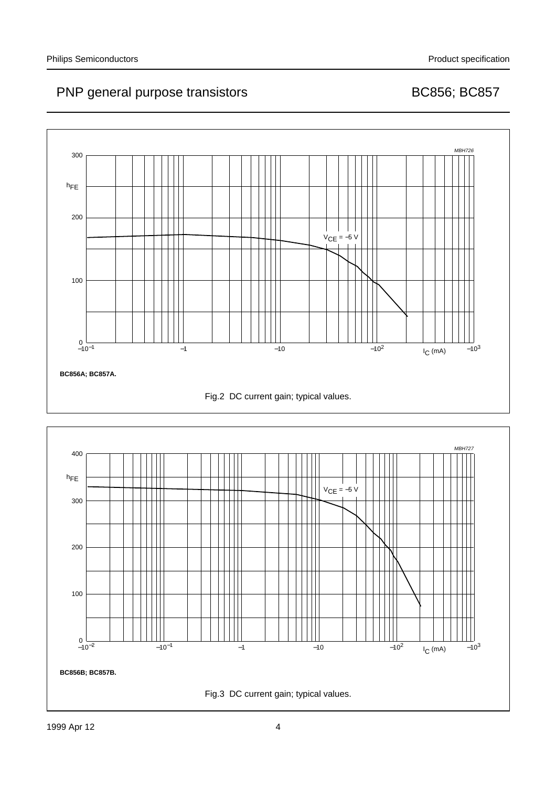# PNP general purpose transistors and all the BC856; BC857



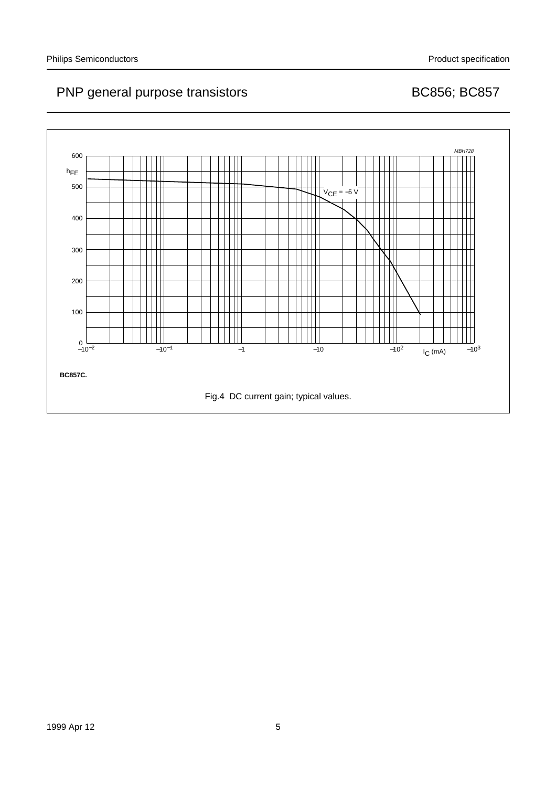# PNP general purpose transistors and all the BC856; BC857

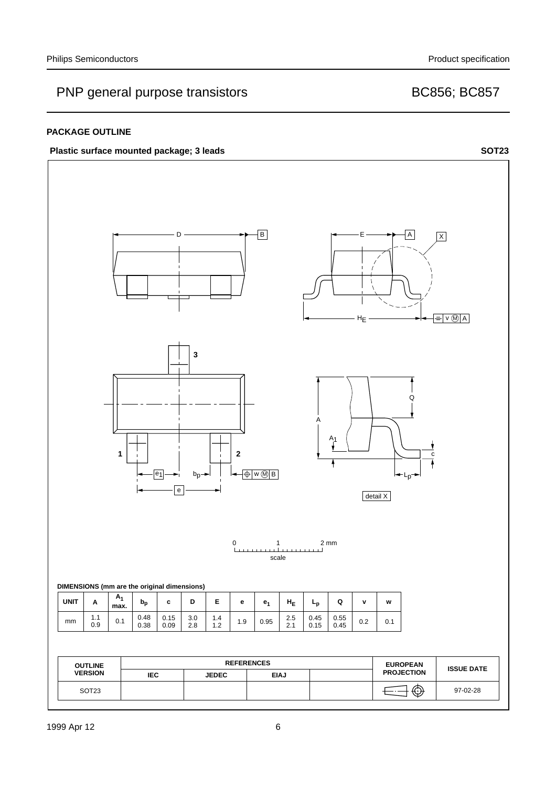## PNP general purpose transistors and the control of the BC856; BC857

### **PACKAGE OUTLINE**

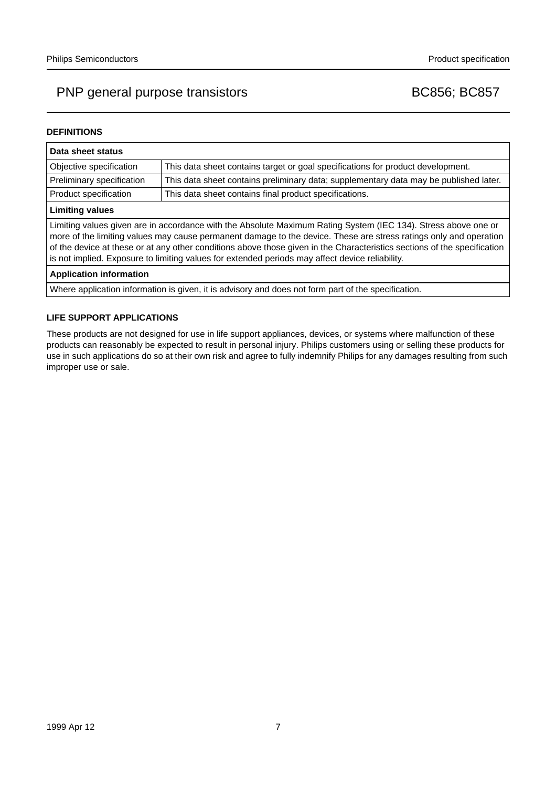## PNP general purpose transistors and the control of the BC856; BC857

#### **DEFINITIONS**

| Data sheet status                                                                                                                                                                                                                                                                                                                                                                                                                                                  |                                                                                       |  |  |  |
|--------------------------------------------------------------------------------------------------------------------------------------------------------------------------------------------------------------------------------------------------------------------------------------------------------------------------------------------------------------------------------------------------------------------------------------------------------------------|---------------------------------------------------------------------------------------|--|--|--|
| Objective specification                                                                                                                                                                                                                                                                                                                                                                                                                                            | This data sheet contains target or goal specifications for product development.       |  |  |  |
| Preliminary specification                                                                                                                                                                                                                                                                                                                                                                                                                                          | This data sheet contains preliminary data; supplementary data may be published later. |  |  |  |
| Product specification                                                                                                                                                                                                                                                                                                                                                                                                                                              | This data sheet contains final product specifications.                                |  |  |  |
| <b>Limiting values</b>                                                                                                                                                                                                                                                                                                                                                                                                                                             |                                                                                       |  |  |  |
| Limiting values given are in accordance with the Absolute Maximum Rating System (IEC 134). Stress above one or<br>more of the limiting values may cause permanent damage to the device. These are stress ratings only and operation<br>of the device at these or at any other conditions above those given in the Characteristics sections of the specification<br>is not implied. Exposure to limiting values for extended periods may affect device reliability. |                                                                                       |  |  |  |
| <b>Application information</b>                                                                                                                                                                                                                                                                                                                                                                                                                                     |                                                                                       |  |  |  |
| Where application information is given, it is advisory and does not form part of the specification.                                                                                                                                                                                                                                                                                                                                                                |                                                                                       |  |  |  |

#### **LIFE SUPPORT APPLICATIONS**

These products are not designed for use in life support appliances, devices, or systems where malfunction of these products can reasonably be expected to result in personal injury. Philips customers using or selling these products for use in such applications do so at their own risk and agree to fully indemnify Philips for any damages resulting from such improper use or sale.